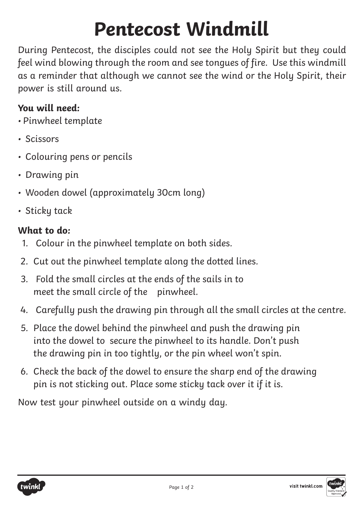## **Pentecost Windmill**

During Pentecost, the disciples could not see the Holy Spirit but they could feel wind blowing through the room and see tongues of fire. Use this windmill as a reminder that although we cannot see the wind or the Holy Spirit, their power is still around us.

## **You will need:**

- Pinwheel template
- Scissors
- Colouring pens or pencils
- Drawing pin
- Wooden dowel (approximately 30cm long)
- Sticky tack

## **What to do:**

- 1. Colour in the pinwheel template on both sides.
- 2. Cut out the pinwheel template along the dotted lines.
- 3. Fold the small circles at the ends of the sails in to meet the small circle of the pinwheel.
- 4. Carefully push the drawing pin through all the small circles at the centre.
- 5. Place the dowel behind the pinwheel and push the drawing pin into the dowel to secure the pinwheel to its handle. Don't push the drawing pin in too tightly, or the pin wheel won't spin.
- 6. Check the back of the dowel to ensure the sharp end of the drawing pin is not sticking out. Place some sticky tack over it if it is.

Now test your pinwheel outside on a windy day.